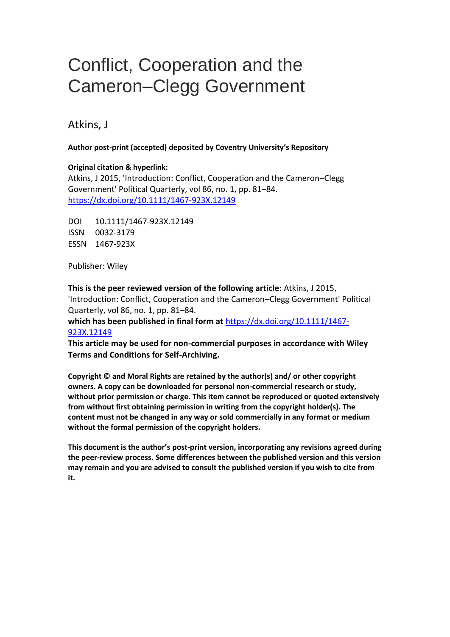# Conflict, Cooperation and the Cameron–Clegg Government

## Atkins, J

#### **Author post-print (accepted) deposited by Coventry University's Repository**

### **Original citation & hyperlink:**

Atkins, J 2015, 'Introduction: Conflict, Cooperation and the Cameron–Clegg Government' Political Quarterly, vol 86, no. 1, pp. 81–84. <https://dx.doi.org/10.1111/1467-923X.12149>

DOI 10.1111/1467-923X.12149 ISSN 0032-3179 ESSN 1467-923X

Publisher: Wiley

**This is the peer reviewed version of the following article:** Atkins, J 2015, 'Introduction: Conflict, Cooperation and the Cameron–Clegg Government' Political Quarterly, vol 86, no. 1, pp. 81–84.

**which has been published in final form at** [https://dx.doi.org/10.1111/1467-](https://dx.doi.org/10.1111/1467-923X.12149) [923X.12149](https://dx.doi.org/10.1111/1467-923X.12149)

**This article may be used for non-commercial purposes in accordance with Wiley Terms and Conditions for Self-Archiving.**

**Copyright © and Moral Rights are retained by the author(s) and/ or other copyright owners. A copy can be downloaded for personal non-commercial research or study, without prior permission or charge. This item cannot be reproduced or quoted extensively from without first obtaining permission in writing from the copyright holder(s). The content must not be changed in any way or sold commercially in any format or medium without the formal permission of the copyright holders.** 

**This document is the author's post-print version, incorporating any revisions agreed during the peer-review process. Some differences between the published version and this version may remain and you are advised to consult the published version if you wish to cite from it.**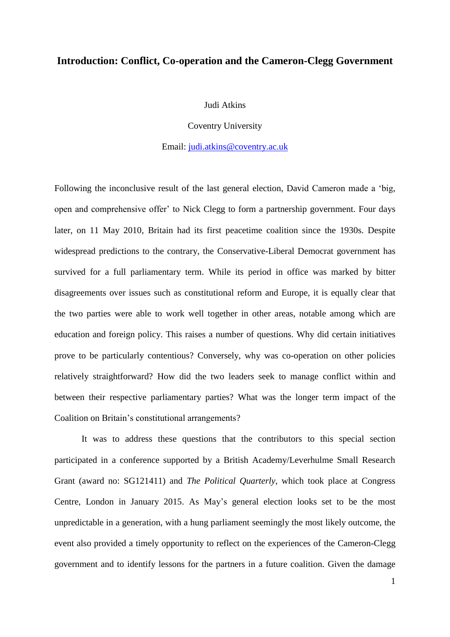#### **Introduction: Conflict, Co-operation and the Cameron-Clegg Government**

Judi Atkins

Coventry University

Email: [judi.atkins@coventry.ac.uk](mailto:judi.atkins@coventry.ac.uk)

Following the inconclusive result of the last general election, David Cameron made a 'big, open and comprehensive offer' to Nick Clegg to form a partnership government. Four days later, on 11 May 2010, Britain had its first peacetime coalition since the 1930s. Despite widespread predictions to the contrary, the Conservative-Liberal Democrat government has survived for a full parliamentary term. While its period in office was marked by bitter disagreements over issues such as constitutional reform and Europe, it is equally clear that the two parties were able to work well together in other areas, notable among which are education and foreign policy. This raises a number of questions. Why did certain initiatives prove to be particularly contentious? Conversely, why was co-operation on other policies relatively straightforward? How did the two leaders seek to manage conflict within and between their respective parliamentary parties? What was the longer term impact of the Coalition on Britain's constitutional arrangements?

It was to address these questions that the contributors to this special section participated in a conference supported by a British Academy/Leverhulme Small Research Grant (award no: SG121411) and *The Political Quarterly*, which took place at Congress Centre, London in January 2015. As May's general election looks set to be the most unpredictable in a generation, with a hung parliament seemingly the most likely outcome, the event also provided a timely opportunity to reflect on the experiences of the Cameron-Clegg government and to identify lessons for the partners in a future coalition. Given the damage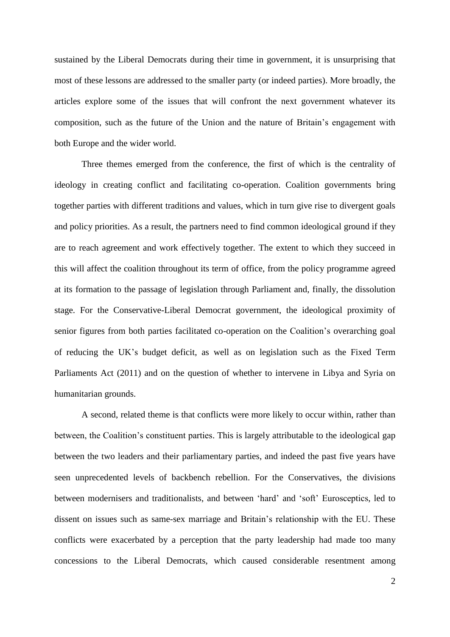sustained by the Liberal Democrats during their time in government, it is unsurprising that most of these lessons are addressed to the smaller party (or indeed parties). More broadly, the articles explore some of the issues that will confront the next government whatever its composition, such as the future of the Union and the nature of Britain's engagement with both Europe and the wider world.

Three themes emerged from the conference, the first of which is the centrality of ideology in creating conflict and facilitating co-operation. Coalition governments bring together parties with different traditions and values, which in turn give rise to divergent goals and policy priorities. As a result, the partners need to find common ideological ground if they are to reach agreement and work effectively together. The extent to which they succeed in this will affect the coalition throughout its term of office, from the policy programme agreed at its formation to the passage of legislation through Parliament and, finally, the dissolution stage. For the Conservative-Liberal Democrat government, the ideological proximity of senior figures from both parties facilitated co-operation on the Coalition's overarching goal of reducing the UK's budget deficit, as well as on legislation such as the Fixed Term Parliaments Act (2011) and on the question of whether to intervene in Libya and Syria on humanitarian grounds.

A second, related theme is that conflicts were more likely to occur within, rather than between, the Coalition's constituent parties. This is largely attributable to the ideological gap between the two leaders and their parliamentary parties, and indeed the past five years have seen unprecedented levels of backbench rebellion. For the Conservatives, the divisions between modernisers and traditionalists, and between 'hard' and 'soft' Eurosceptics, led to dissent on issues such as same-sex marriage and Britain's relationship with the EU. These conflicts were exacerbated by a perception that the party leadership had made too many concessions to the Liberal Democrats, which caused considerable resentment among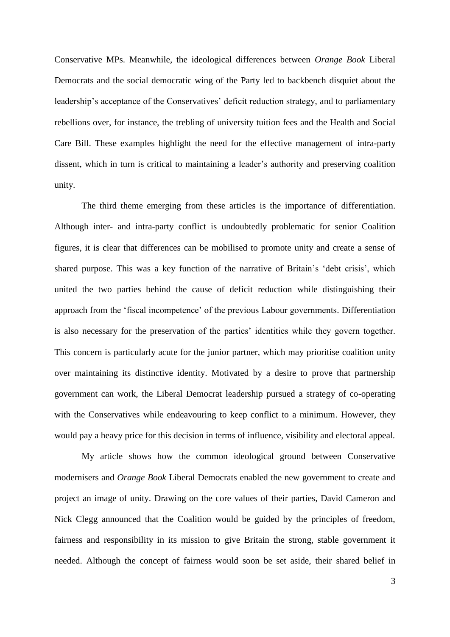Conservative MPs. Meanwhile, the ideological differences between *Orange Book* Liberal Democrats and the social democratic wing of the Party led to backbench disquiet about the leadership's acceptance of the Conservatives' deficit reduction strategy, and to parliamentary rebellions over, for instance, the trebling of university tuition fees and the Health and Social Care Bill. These examples highlight the need for the effective management of intra-party dissent, which in turn is critical to maintaining a leader's authority and preserving coalition unity.

The third theme emerging from these articles is the importance of differentiation. Although inter- and intra-party conflict is undoubtedly problematic for senior Coalition figures, it is clear that differences can be mobilised to promote unity and create a sense of shared purpose. This was a key function of the narrative of Britain's 'debt crisis', which united the two parties behind the cause of deficit reduction while distinguishing their approach from the 'fiscal incompetence' of the previous Labour governments. Differentiation is also necessary for the preservation of the parties' identities while they govern together. This concern is particularly acute for the junior partner, which may prioritise coalition unity over maintaining its distinctive identity. Motivated by a desire to prove that partnership government can work, the Liberal Democrat leadership pursued a strategy of co-operating with the Conservatives while endeavouring to keep conflict to a minimum. However, they would pay a heavy price for this decision in terms of influence, visibility and electoral appeal.

My article shows how the common ideological ground between Conservative modernisers and *Orange Book* Liberal Democrats enabled the new government to create and project an image of unity. Drawing on the core values of their parties, David Cameron and Nick Clegg announced that the Coalition would be guided by the principles of freedom, fairness and responsibility in its mission to give Britain the strong, stable government it needed. Although the concept of fairness would soon be set aside, their shared belief in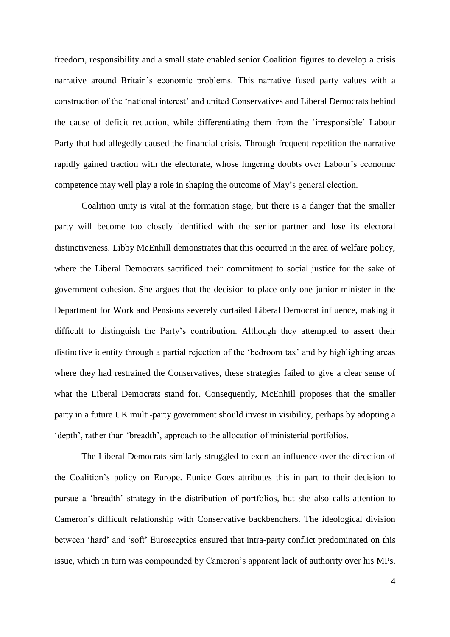freedom, responsibility and a small state enabled senior Coalition figures to develop a crisis narrative around Britain's economic problems. This narrative fused party values with a construction of the 'national interest' and united Conservatives and Liberal Democrats behind the cause of deficit reduction, while differentiating them from the 'irresponsible' Labour Party that had allegedly caused the financial crisis. Through frequent repetition the narrative rapidly gained traction with the electorate, whose lingering doubts over Labour's economic competence may well play a role in shaping the outcome of May's general election.

Coalition unity is vital at the formation stage, but there is a danger that the smaller party will become too closely identified with the senior partner and lose its electoral distinctiveness. Libby McEnhill demonstrates that this occurred in the area of welfare policy, where the Liberal Democrats sacrificed their commitment to social justice for the sake of government cohesion. She argues that the decision to place only one junior minister in the Department for Work and Pensions severely curtailed Liberal Democrat influence, making it difficult to distinguish the Party's contribution. Although they attempted to assert their distinctive identity through a partial rejection of the 'bedroom tax' and by highlighting areas where they had restrained the Conservatives, these strategies failed to give a clear sense of what the Liberal Democrats stand for. Consequently, McEnhill proposes that the smaller party in a future UK multi-party government should invest in visibility, perhaps by adopting a 'depth', rather than 'breadth', approach to the allocation of ministerial portfolios.

The Liberal Democrats similarly struggled to exert an influence over the direction of the Coalition's policy on Europe. Eunice Goes attributes this in part to their decision to pursue a 'breadth' strategy in the distribution of portfolios, but she also calls attention to Cameron's difficult relationship with Conservative backbenchers. The ideological division between 'hard' and 'soft' Eurosceptics ensured that intra-party conflict predominated on this issue, which in turn was compounded by Cameron's apparent lack of authority over his MPs.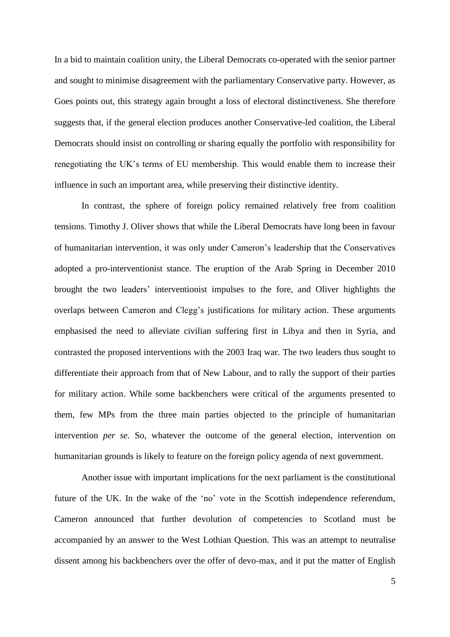In a bid to maintain coalition unity, the Liberal Democrats co-operated with the senior partner and sought to minimise disagreement with the parliamentary Conservative party. However, as Goes points out, this strategy again brought a loss of electoral distinctiveness. She therefore suggests that, if the general election produces another Conservative-led coalition, the Liberal Democrats should insist on controlling or sharing equally the portfolio with responsibility for renegotiating the UK's terms of EU membership. This would enable them to increase their influence in such an important area, while preserving their distinctive identity.

In contrast, the sphere of foreign policy remained relatively free from coalition tensions. Timothy J. Oliver shows that while the Liberal Democrats have long been in favour of humanitarian intervention, it was only under Cameron's leadership that the Conservatives adopted a pro-interventionist stance. The eruption of the Arab Spring in December 2010 brought the two leaders' interventionist impulses to the fore, and Oliver highlights the overlaps between Cameron and Clegg's justifications for military action. These arguments emphasised the need to alleviate civilian suffering first in Libya and then in Syria, and contrasted the proposed interventions with the 2003 Iraq war. The two leaders thus sought to differentiate their approach from that of New Labour, and to rally the support of their parties for military action. While some backbenchers were critical of the arguments presented to them, few MPs from the three main parties objected to the principle of humanitarian intervention *per se*. So, whatever the outcome of the general election, intervention on humanitarian grounds is likely to feature on the foreign policy agenda of next government.

Another issue with important implications for the next parliament is the constitutional future of the UK. In the wake of the 'no' vote in the Scottish independence referendum, Cameron announced that further devolution of competencies to Scotland must be accompanied by an answer to the West Lothian Question. This was an attempt to neutralise dissent among his backbenchers over the offer of devo-max, and it put the matter of English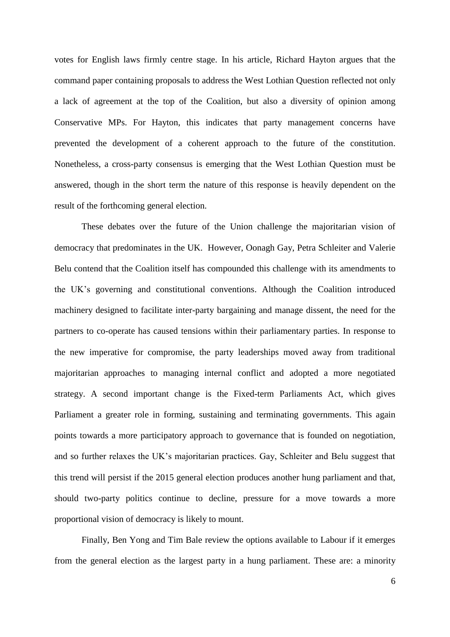votes for English laws firmly centre stage. In his article, Richard Hayton argues that the command paper containing proposals to address the West Lothian Question reflected not only a lack of agreement at the top of the Coalition, but also a diversity of opinion among Conservative MPs. For Hayton, this indicates that party management concerns have prevented the development of a coherent approach to the future of the constitution. Nonetheless, a cross-party consensus is emerging that the West Lothian Question must be answered, though in the short term the nature of this response is heavily dependent on the result of the forthcoming general election.

These debates over the future of the Union challenge the majoritarian vision of democracy that predominates in the UK. However, Oonagh Gay, Petra Schleiter and Valerie Belu contend that the Coalition itself has compounded this challenge with its amendments to the UK's governing and constitutional conventions. Although the Coalition introduced machinery designed to facilitate inter-party bargaining and manage dissent, the need for the partners to co-operate has caused tensions within their parliamentary parties. In response to the new imperative for compromise, the party leaderships moved away from traditional majoritarian approaches to managing internal conflict and adopted a more negotiated strategy. A second important change is the Fixed-term Parliaments Act, which gives Parliament a greater role in forming, sustaining and terminating governments. This again points towards a more participatory approach to governance that is founded on negotiation, and so further relaxes the UK's majoritarian practices. Gay, Schleiter and Belu suggest that this trend will persist if the 2015 general election produces another hung parliament and that, should two-party politics continue to decline, pressure for a move towards a more proportional vision of democracy is likely to mount.

Finally, Ben Yong and Tim Bale review the options available to Labour if it emerges from the general election as the largest party in a hung parliament. These are: a minority